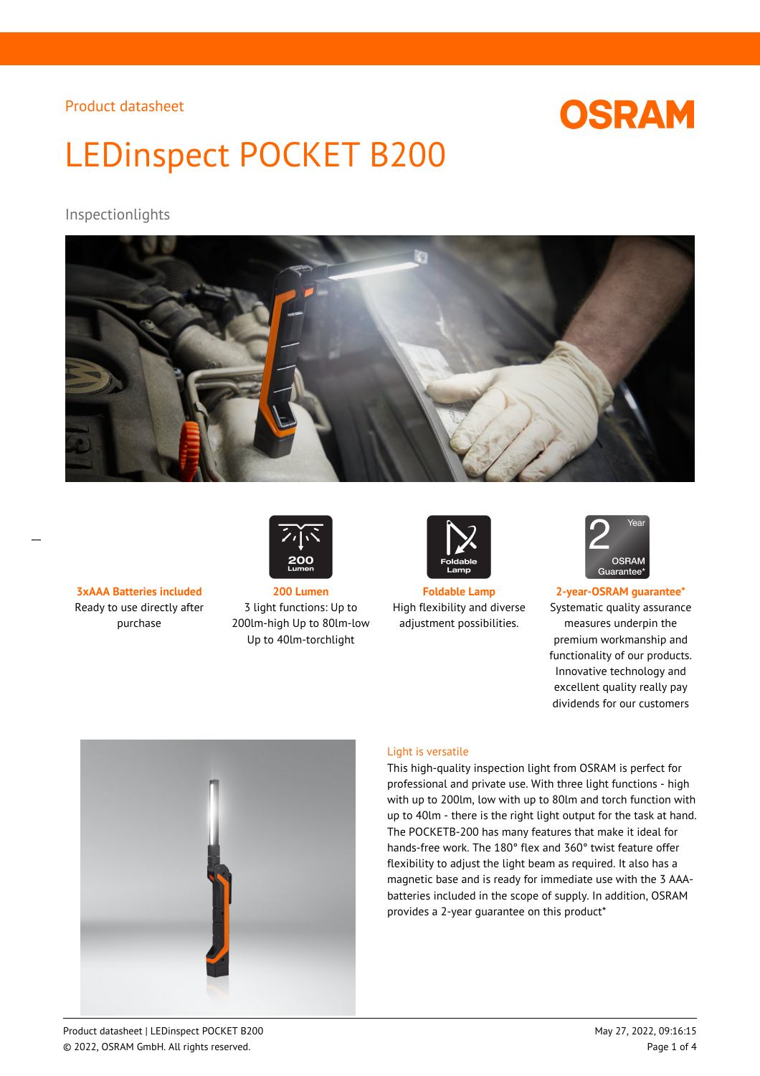# **OSRAM**

# LEDinspect POCKET B200

## Inspectionlights



Ready to use directly after purchase



**3xAAA Batteries included 200 Lumen Foldable Lamp 2-year-OSRAM guarantee\*** 3 light functions: Up to 200lm-high Up to 80lm-low Up to 40lm-torchlight



High flexibility and diverse adjustment possibilities.



Systematic quality assurance measures underpin the premium workmanship and functionality of our products. Innovative technology and excellent quality really pay dividends for our customers



### Light is versatile

This high-quality inspection light from OSRAM is perfect for professional and private use. With three light functions - high with up to 200lm, low with up to 80lm and torch function with up to 40lm - there is the right light output for the task at hand. The POCKETB-200 has many features that make it ideal for hands-free work. The 180° flex and 360° twist feature offer flexibility to adjust the light beam as required. It also has a magnetic base and is ready for immediate use with the 3 AAAbatteries included in the scope of supply. In addition, OSRAM provides a 2-year guarantee on this product\*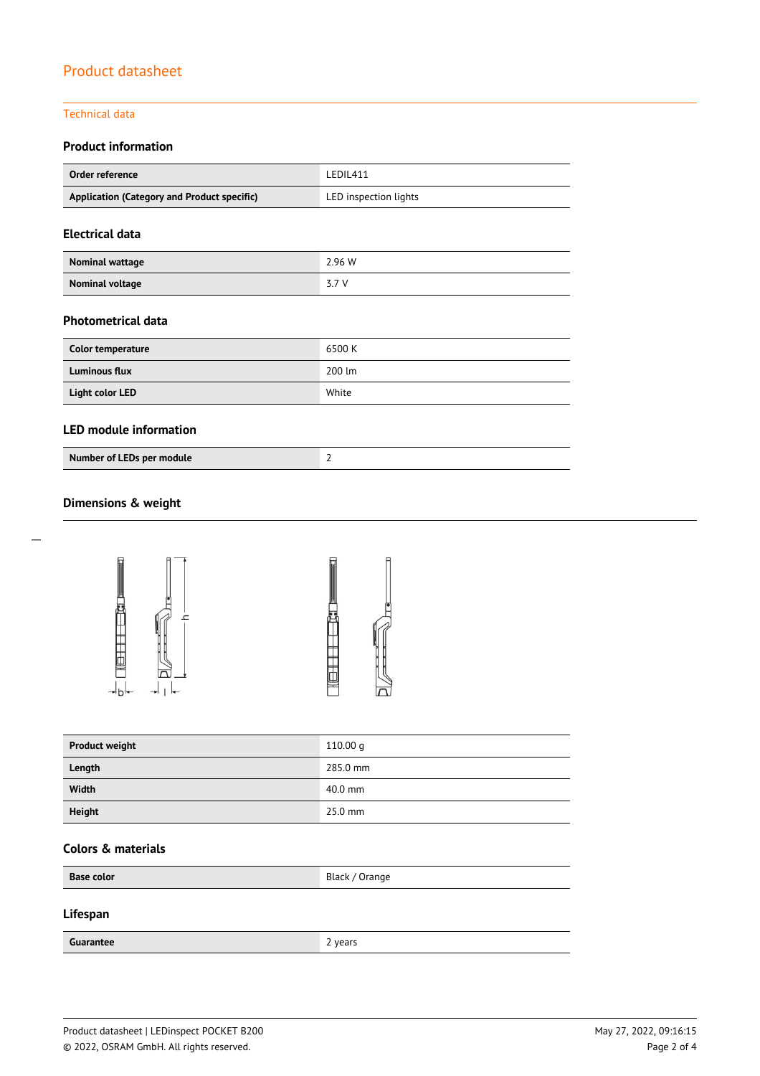## Technical data

## **Product information**

| Order reference                             | LEDIL411              |  |
|---------------------------------------------|-----------------------|--|
| Application (Category and Product specific) | LED inspection lights |  |

## **Electrical data**

| Nominal wattage | 2.96 W |
|-----------------|--------|
| Nominal voltage | 3.7 V  |

## **Photometrical data**

| Color temperature    | 6500 K |
|----------------------|--------|
| <b>Luminous flux</b> | 200 lm |
| Light color LED      | White  |

## **LED module information**

## **Dimensions & weight**





| <b>Product weight</b> | 110.00 q  |
|-----------------------|-----------|
| Length                | 285.0 mm  |
| Width                 | $40.0$ mm |
| Height                | $25.0$ mm |

## **Colors & materials**

| <b>Base color</b> | Black / Orange |
|-------------------|----------------|
|                   |                |

## **Lifespan**

**Guarantee** 2 years 2 years 2 years 2 years 2 years 2 years 2 years 2 years 2 years 2 years 2 years 2 years 2 years 2 years 2 years 2 years 2 years 2 years 2 years 2 years 2 years 2 years 2 years 2 years 2 years 2 years 2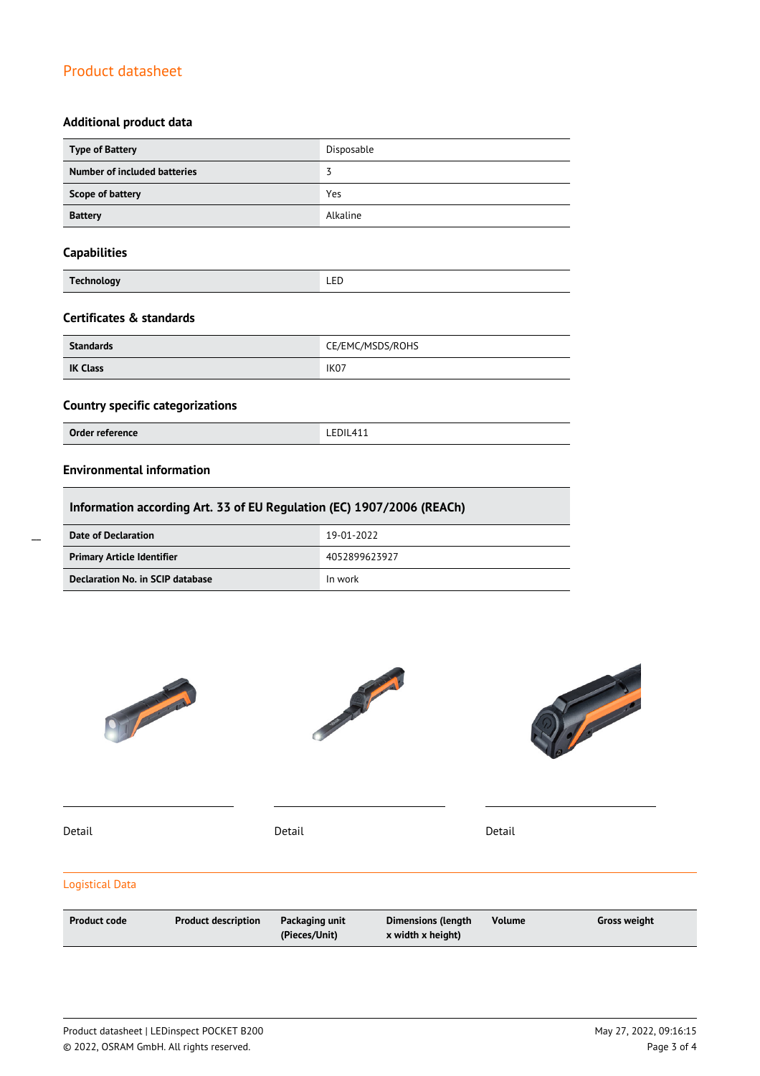## **Additional product data**

| <b>Type of Battery</b>       | Disposable |
|------------------------------|------------|
| Number of included batteries |            |
| Scope of battery             | Yes        |
| <b>Battery</b>               | Alkaline   |

## **Capabilities**

|--|

## **Certificates & standards**

| <b>Standards</b> | CE/EMC/MSDS/ROHS |  |
|------------------|------------------|--|
| <b>IK Class</b>  | IK <sub>07</sub> |  |

## **Country specific categorizations**

**Order reference** LEDIL411

## **Environmental information**

| Information according Art. 33 of EU Regulation (EC) 1907/2006 (REACh) |               |  |
|-----------------------------------------------------------------------|---------------|--|
| <b>Date of Declaration</b>                                            | 19-01-2022    |  |
| <b>Primary Article Identifier</b>                                     | 4052899623927 |  |
| Declaration No. in SCIP database                                      | In work       |  |



 $\overline{a}$